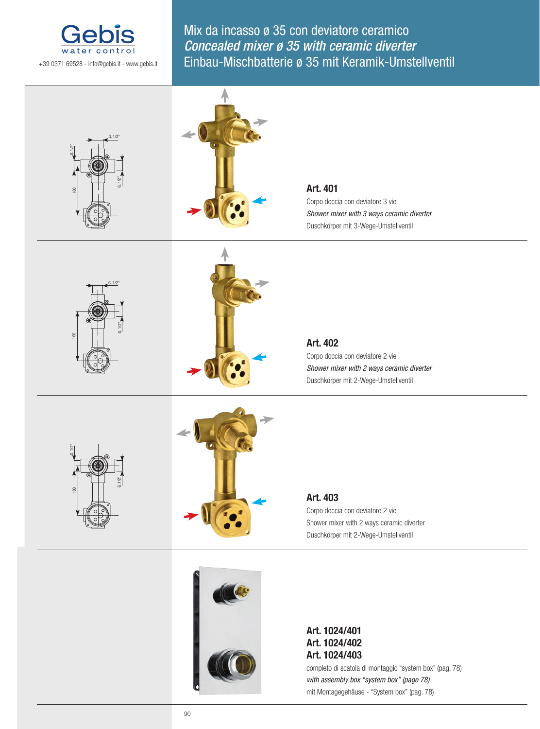

Mix da incasso ø 35 con deviatore ceramico Concealed mixer ø 35 with ceramic diverter Einbau-Mischbatterie ø 35 mit Keramik-Umstellventil



completo di scatola di montaggio "system box" (pag. 78) *with assembly box "system box" (page 78)* mit Montagegehäuse - "System box" (pag. 78)